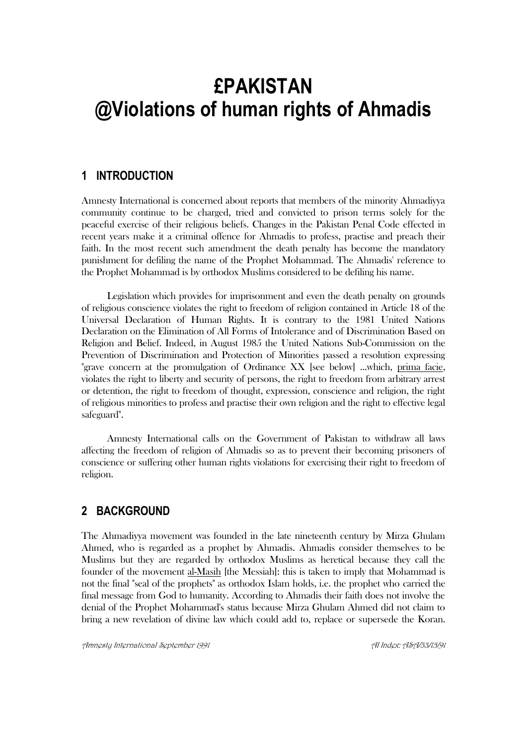# **£PAKISTAN @Violations of human rights of Ahmadis**

## **1 INTRODUCTION**

Amnesty International is concerned about reports that members of the minority Ahmadiyya community continue to be charged, tried and convicted to prison terms solely for the peaceful exercise of their religious beliefs. Changes in the Pakistan Penal Code effected in recent years make it a criminal offence for Ahmadis to profess, practise and preach their faith. In the most recent such amendment the death penalty has become the mandatory punishment for defiling the name of the Prophet Mohammad. The Ahmadis' reference to the Prophet Mohammad is by orthodox Muslims considered to be defiling his name.

Legislation which provides for imprisonment and even the death penalty on grounds of religious conscience violates the right to freedom of religion contained in Article 18 of the Universal Declaration of Human Rights. It is contrary to the 1981 United Nations Declaration on the Elimination of All Forms of Intolerance and of Discrimination Based on Religion and Belief. Indeed, in August 1985 the United Nations Sub-Commission on the Prevention of Discrimination and Protection of Minorities passed a resolution expressing "grave concern at the promulgation of Ordinance XX [see below] ...which, prima facie, violates the right to liberty and security of persons, the right to freedom from arbitrary arrest or detention, the right to freedom of thought, expression, conscience and religion, the right of religious minorities to profess and practise their own religion and the right to effective legal safeguard".

Amnesty International calls on the Government of Pakistan to withdraw all laws affecting the freedom of religion of Ahmadis so as to prevent their becoming prisoners of conscience or suffering other human rights violations for exercising their right to freedom of religion.

## **2 BACKGROUND**

The Ahmadiyya movement was founded in the late nineteenth century by Mirza Ghulam Ahmed, who is regarded as a prophet by Ahmadis. Ahmadis consider themselves to be Muslims but they are regarded by orthodox Muslims as heretical because they call the founder of the movement al-Masih [the Messiah]: this is taken to imply that Mohammad is not the final "seal of the prophets" as orthodox Islam holds, i.e. the prophet who carried the final message from God to humanity. According to Ahmadis their faith does not involve the denial of the Prophet Mohammad's status because Mirza Ghulam Ahmed did not claim to bring a new revelation of divine law which could add to, replace or supersede the Koran.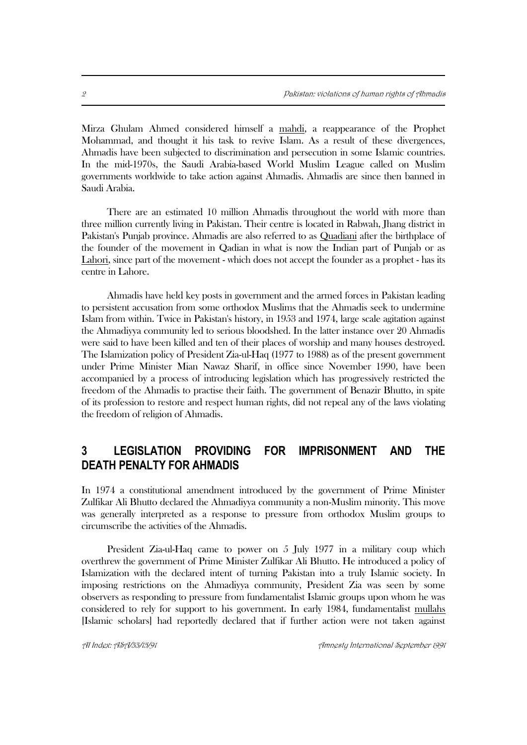Mirza Ghulam Ahmed considered himself a mahdi, a reappearance of the Prophet Mohammad, and thought it his task to revive Islam. As a result of these divergences, Ahmadis have been subjected to discrimination and persecution in some Islamic countries. In the mid-1970s, the Saudi Arabia-based World Muslim League called on Muslim governments worldwide to take action against Ahmadis. Ahmadis are since then banned in Saudi Arabia.

There are an estimated 10 million Ahmadis throughout the world with more than three million currently living in Pakistan. Their centre is located in Rabwah, Jhang district in Pakistan's Punjab province. Ahmadis are also referred to as Quadiani after the birthplace of the founder of the movement in Qadian in what is now the Indian part of Punjab or as Lahori, since part of the movement - which does not accept the founder as a prophet - has its centre in Lahore.

Ahmadis have held key posts in government and the armed forces in Pakistan leading to persistent accusation from some orthodox Muslims that the Ahmadis seek to undermine Islam from within. Twice in Pakistan's history, in 1953 and 1974, large scale agitation against the Ahmadiyya community led to serious bloodshed. In the latter instance over 20 Ahmadis were said to have been killed and ten of their places of worship and many houses destroyed. The Islamization policy of President Zia-ul-Haq (1977 to 1988) as of the present government under Prime Minister Mian Nawaz Sharif, in office since November 1990, have been accompanied by a process of introducing legislation which has progressively restricted the freedom of the Ahmadis to practise their faith. The government of Benazir Bhutto, in spite of its profession to restore and respect human rights, did not repeal any of the laws violating the freedom of religion of Ahmadis.

# **3 LEGISLATION PROVIDING FOR IMPRISONMENT AND THE DEATH PENALTY FOR AHMADIS**

In 1974 a constitutional amendment introduced by the government of Prime Minister Zulfikar Ali Bhutto declared the Ahmadiyya community a non-Muslim minority. This move was generally interpreted as a response to pressure from orthodox Muslim groups to circumscribe the activities of the Ahmadis.

President Zia-ul-Haq came to power on 5 July 1977 in a military coup which overthrew the government of Prime Minister Zulfikar Ali Bhutto. He introduced a policy of Islamization with the declared intent of turning Pakistan into a truly Islamic society. In imposing restrictions on the Ahmadiyya community, President Zia was seen by some observers as responding to pressure from fundamentalist Islamic groups upon whom he was considered to rely for support to his government. In early 1984, fundamentalist mullahs [Islamic scholars] had reportedly declared that if further action were not taken against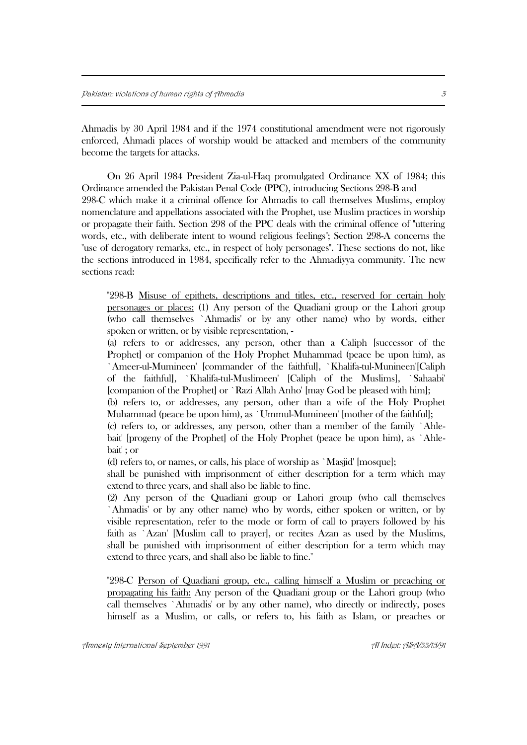Ahmadis by 30 April 1984 and if the 1974 constitutional amendment were not rigorously enforced, Ahmadi places of worship would be attacked and members of the community become the targets for attacks.

On 26 April 1984 President Zia-ul-Haq promulgated Ordinance XX of 1984; this Ordinance amended the Pakistan Penal Code (PPC), introducing Sections 298-B and 298-C which make it a criminal offence for Ahmadis to call themselves Muslims, employ nomenclature and appellations associated with the Prophet, use Muslim practices in worship or propagate their faith. Section 298 of the PPC deals with the criminal offence of "uttering words, etc., with deliberate intent to wound religious feelings"; Section 298-A concerns the "use of derogatory remarks, etc., in respect of holy personages". These sections do not, like the sections introduced in 1984, specifically refer to the Ahmadiyya community. The new sections read:

"298-B Misuse of epithets, descriptions and titles, etc., reserved for certain holy personages or places: (1) Any person of the Quadiani group or the Lahori group (who call themselves `Ahmadis' or by any other name) who by words, either spoken or written, or by visible representation, -

(a) refers to or addresses, any person, other than a Caliph [successor of the Prophet] or companion of the Holy Prophet Muhammad (peace be upon him), as `Ameer-ul-Mumineen' [commander of the faithful], `Khalifa-tul-Munineen'[Caliph of the faithful], `Khalifa-tul-Muslimeen' [Caliph of the Muslims], `Sahaabi' [companion of the Prophet] or `Razi Allah Anho' [may God be pleased with him];

(b) refers to, or addresses, any person, other than a wife of the Holy Prophet Muhammad (peace be upon him), as `Ummul-Mumineen' [mother of the faithful];

(c) refers to, or addresses, any person, other than a member of the family `Ahlebait' [progeny of the Prophet] of the Holy Prophet (peace be upon him), as `Ahlebait' ; or

(d) refers to, or names, or calls, his place of worship as `Masjid' [mosque];

shall be punished with imprisonment of either description for a term which may extend to three years, and shall also be liable to fine.

(2) Any person of the Quadiani group or Lahori group (who call themselves `Ahmadis' or by any other name) who by words, either spoken or written, or by visible representation, refer to the mode or form of call to prayers followed by his faith as `Azan' [Muslim call to prayer], or recites Azan as used by the Muslims, shall be punished with imprisonment of either description for a term which may extend to three years, and shall also be liable to fine."

"298-C Person of Quadiani group, etc., calling himself a Muslim or preaching or propagating his faith: Any person of the Quadiani group or the Lahori group (who call themselves `Ahmadis' or by any other name), who directly or indirectly, poses himself as a Muslim, or calls, or refers to, his faith as Islam, or preaches or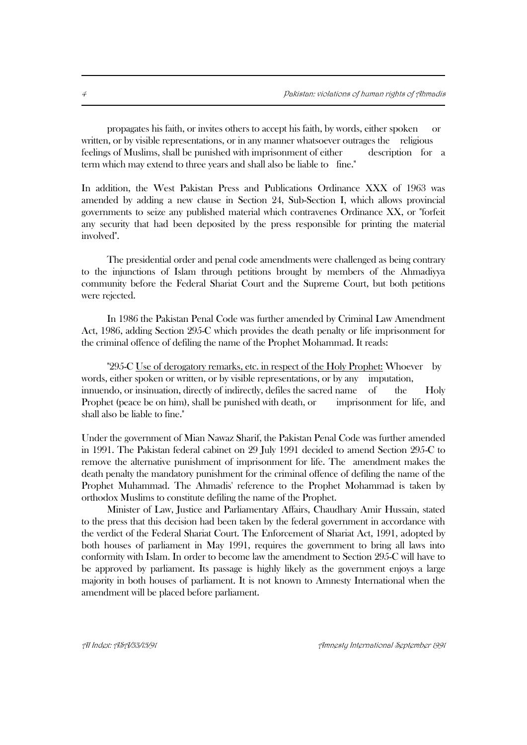propagates his faith, or invites others to accept his faith, by words, either spoken or written, or by visible representations, or in any manner whatsoever outrages the religious feelings of Muslims, shall be punished with imprisonment of either description for a term which may extend to three years and shall also be liable to fine."

In addition, the West Pakistan Press and Publications Ordinance XXX of 1963 was amended by adding a new clause in Section 24, Sub-Section I, which allows provincial governments to seize any published material which contravenes Ordinance XX, or "forfeit any security that had been deposited by the press responsible for printing the material involved".

The presidential order and penal code amendments were challenged as being contrary to the injunctions of Islam through petitions brought by members of the Ahmadiyya community before the Federal Shariat Court and the Supreme Court, but both petitions were rejected.

In 1986 the Pakistan Penal Code was further amended by Criminal Law Amendment Act, 1986, adding Section 295-C which provides the death penalty or life imprisonment for the criminal offence of defiling the name of the Prophet Mohammad. It reads:

"295-C Use of derogatory remarks, etc. in respect of the Holy Prophet: Whoever by words, either spoken or written, or by visible representations, or by any imputation, innuendo, or insinuation, directly of indirectly, defiles the sacred name of the Holy Prophet (peace be on him), shall be punished with death, or imprisonment for life, and shall also be liable to fine."

Under the government of Mian Nawaz Sharif, the Pakistan Penal Code was further amended in 1991. The Pakistan federal cabinet on 29 July 1991 decided to amend Section 295-C to remove the alternative punishment of imprisonment for life. The amendment makes the death penalty the mandatory punishment for the criminal offence of defiling the name of the Prophet Muhammad. The Ahmadis' reference to the Prophet Mohammad is taken by orthodox Muslims to constitute defiling the name of the Prophet.

Minister of Law, Justice and Parliamentary Affairs, Chaudhary Amir Hussain, stated to the press that this decision had been taken by the federal government in accordance with the verdict of the Federal Shariat Court. The Enforcement of Shariat Act, 1991, adopted by both houses of parliament in May 1991, requires the government to bring all laws into conformity with Islam. In order to become law the amendment to Section 295-C will have to be approved by parliament. Its passage is highly likely as the government enjoys a large majority in both houses of parliament. It is not known to Amnesty International when the amendment will be placed before parliament.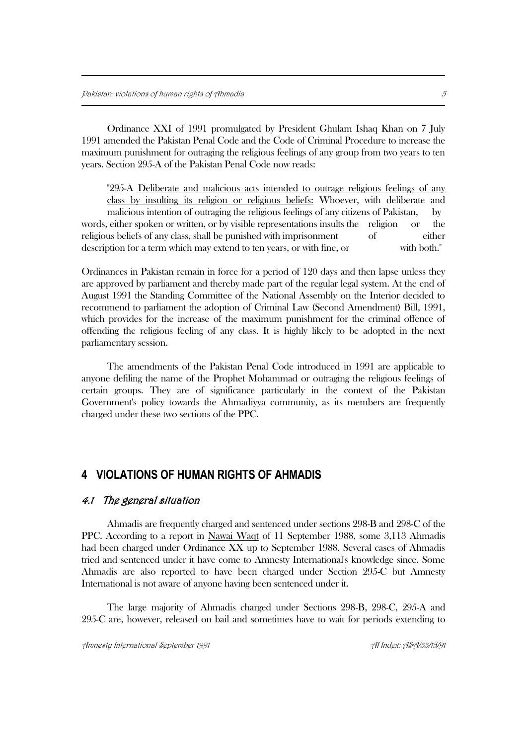Ordinance XXI of 1991 promulgated by President Ghulam Ishaq Khan on 7 July 1991 amended the Pakistan Penal Code and the Code of Criminal Procedure to increase the maximum punishment for outraging the religious feelings of any group from two years to ten years. Section 295-A of the Pakistan Penal Code now reads:

"295-A Deliberate and malicious acts intended to outrage religious feelings of any class by insulting its religion or religious beliefs: Whoever, with deliberate and malicious intention of outraging the religious feelings of any citizens of Pakistan, by words, either spoken or written, or by visible representations insults the religion or the religious beliefs of any class, shall be punished with imprisonment of either description for a term which may extend to ten years, or with fine, or with both."

Ordinances in Pakistan remain in force for a period of 120 days and then lapse unless they are approved by parliament and thereby made part of the regular legal system. At the end of August 1991 the Standing Committee of the National Assembly on the Interior decided to recommend to parliament the adoption of Criminal Law (Second Amendment) Bill, 1991, which provides for the increase of the maximum punishment for the criminal offence of offending the religious feeling of any class. It is highly likely to be adopted in the next parliamentary session.

The amendments of the Pakistan Penal Code introduced in 1991 are applicable to anyone defiling the name of the Prophet Mohammad or outraging the religious feelings of certain groups. They are of significance particularly in the context of the Pakistan Government's policy towards the Ahmadiyya community, as its members are frequently charged under these two sections of the PPC.

## **4 VIOLATIONS OF HUMAN RIGHTS OF AHMADIS**

#### 4.1 The general situation

Ahmadis are frequently charged and sentenced under sections 298-B and 298-C of the PPC. According to a report in Nawai Waqt of 11 September 1988, some 3,113 Ahmadis had been charged under Ordinance XX up to September 1988. Several cases of Ahmadis tried and sentenced under it have come to Amnesty International's knowledge since. Some Ahmadis are also reported to have been charged under Section 295-C but Amnesty International is not aware of anyone having been sentenced under it.

The large majority of Ahmadis charged under Sections 298-B, 298-C, 295-A and 295-C are, however, released on bail and sometimes have to wait for periods extending to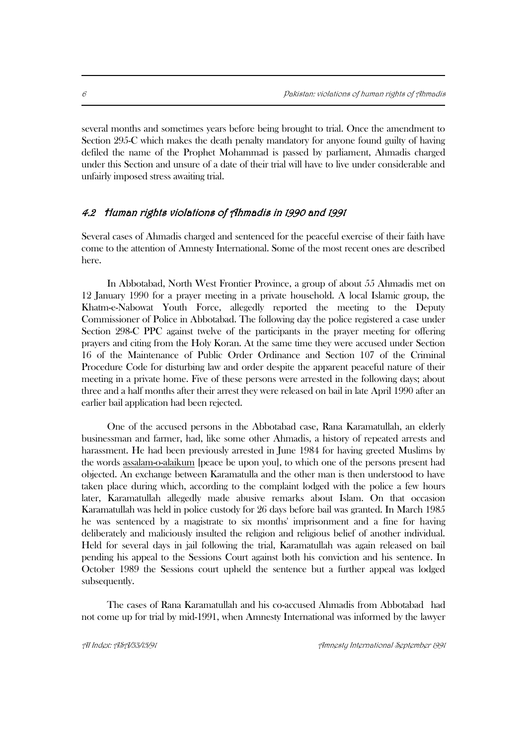several months and sometimes years before being brought to trial. Once the amendment to Section 295-C which makes the death penalty mandatory for anyone found guilty of having defiled the name of the Prophet Mohammad is passed by parliament, Ahmadis charged under this Section and unsure of a date of their trial will have to live under considerable and unfairly imposed stress awaiting trial.

#### 4.2 Human rights violations of Ahmadis in 1990 and 1991

Several cases of Ahmadis charged and sentenced for the peaceful exercise of their faith have come to the attention of Amnesty International. Some of the most recent ones are described here.

In Abbotabad, North West Frontier Province, a group of about 55 Ahmadis met on 12 January 1990 for a prayer meeting in a private household. A local Islamic group, the Khatm-e-Nabowat Youth Force, allegedly reported the meeting to the Deputy Commissioner of Police in Abbotabad. The following day the police registered a case under Section 298-C PPC against twelve of the participants in the prayer meeting for offering prayers and citing from the Holy Koran. At the same time they were accused under Section 16 of the Maintenance of Public Order Ordinance and Section 107 of the Criminal Procedure Code for disturbing law and order despite the apparent peaceful nature of their meeting in a private home. Five of these persons were arrested in the following days; about three and a half months after their arrest they were released on bail in late April 1990 after an earlier bail application had been rejected.

One of the accused persons in the Abbotabad case, Rana Karamatullah, an elderly businessman and farmer, had, like some other Ahmadis, a history of repeated arrests and harassment. He had been previously arrested in June 1984 for having greeted Muslims by the words assalam-o-alaikum [peace be upon you], to which one of the persons present had objected. An exchange between Karamatulla and the other man is then understood to have taken place during which, according to the complaint lodged with the police a few hours later, Karamatullah allegedly made abusive remarks about Islam. On that occasion Karamatullah was held in police custody for 26 days before bail was granted. In March 1985 he was sentenced by a magistrate to six months' imprisonment and a fine for having deliberately and maliciously insulted the religion and religious belief of another individual. Held for several days in jail following the trial, Karamatullah was again released on bail pending his appeal to the Sessions Court against both his conviction and his sentence. In October 1989 the Sessions court upheld the sentence but a further appeal was lodged subsequently.

The cases of Rana Karamatullah and his co-accused Ahmadis from Abbotabad had not come up for trial by mid-1991, when Amnesty International was informed by the lawyer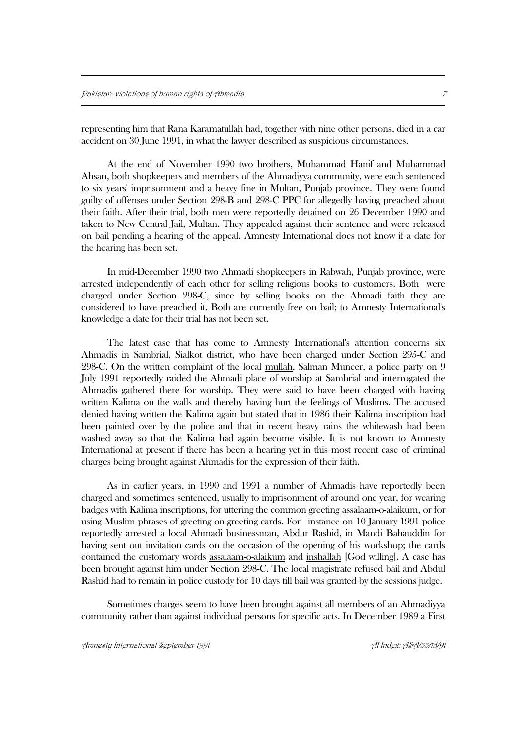representing him that Rana Karamatullah had, together with nine other persons, died in a car accident on 30 June 1991, in what the lawyer described as suspicious circumstances.

At the end of November 1990 two brothers, Muhammad Hanif and Muhammad Ahsan, both shopkeepers and members of the Ahmadiyya community, were each sentenced to six years' imprisonment and a heavy fine in Multan, Punjab province. They were found guilty of offenses under Section 298-B and 298-C PPC for allegedly having preached about their faith. After their trial, both men were reportedly detained on 26 December 1990 and taken to New Central Jail, Multan. They appealed against their sentence and were released on bail pending a hearing of the appeal. Amnesty International does not know if a date for the hearing has been set.

In mid-December 1990 two Ahmadi shopkeepers in Rabwah, Punjab province, were arrested independently of each other for selling religious books to customers. Both were charged under Section 298-C, since by selling books on the Ahmadi faith they are considered to have preached it. Both are currently free on bail; to Amnesty International's knowledge a date for their trial has not been set.

The latest case that has come to Amnesty International's attention concerns six Ahmadis in Sambrial, Sialkot district, who have been charged under Section 295-C and 298-C. On the written complaint of the local mullah, Salman Muneer, a police party on 9 July 1991 reportedly raided the Ahmadi place of worship at Sambrial and interrogated the Ahmadis gathered there for worship. They were said to have been charged with having written Kalima on the walls and thereby having hurt the feelings of Muslims. The accused denied having written the Kalima again but stated that in 1986 their Kalima inscription had been painted over by the police and that in recent heavy rains the whitewash had been washed away so that the Kalima had again become visible. It is not known to Amnesty International at present if there has been a hearing yet in this most recent case of criminal charges being brought against Ahmadis for the expression of their faith.

As in earlier years, in 1990 and 1991 a number of Ahmadis have reportedly been charged and sometimes sentenced, usually to imprisonment of around one year, for wearing badges with Kalima inscriptions, for uttering the common greeting assalaam-o-alaikum, or for using Muslim phrases of greeting on greeting cards. For instance on 10 January 1991 police reportedly arrested a local Ahmadi businessman, Abdur Rashid, in Mandi Bahauddin for having sent out invitation cards on the occasion of the opening of his workshop; the cards contained the customary words assalaam-o-alaikum and inshallah [God willing]. A case has been brought against him under Section 298-C. The local magistrate refused bail and Abdul Rashid had to remain in police custody for 10 days till bail was granted by the sessions judge.

Sometimes charges seem to have been brought against all members of an Ahmadiyya community rather than against individual persons for specific acts. In December 1989 a First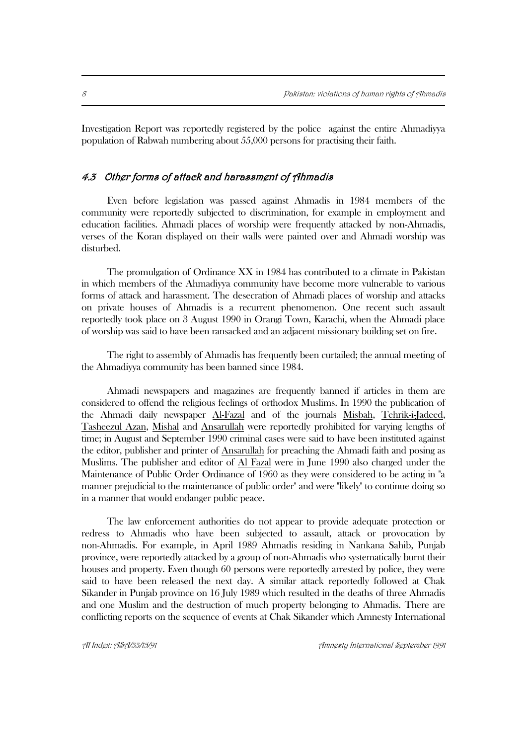Investigation Report was reportedly registered by the police against the entire Ahmadiyya population of Rabwah numbering about 55,000 persons for practising their faith.

#### 4.3 Other forms of attack and harassment of Ahmadis

Even before legislation was passed against Ahmadis in 1984 members of the community were reportedly subjected to discrimination, for example in employment and education facilities. Ahmadi places of worship were frequently attacked by non-Ahmadis, verses of the Koran displayed on their walls were painted over and Ahmadi worship was disturbed.

The promulgation of Ordinance XX in 1984 has contributed to a climate in Pakistan in which members of the Ahmadiyya community have become more vulnerable to various forms of attack and harassment. The desecration of Ahmadi places of worship and attacks on private houses of Ahmadis is a recurrent phenomenon. One recent such assault reportedly took place on 3 August 1990 in Orangi Town, Karachi, when the Ahmadi place of worship was said to have been ransacked and an adjacent missionary building set on fire.

The right to assembly of Ahmadis has frequently been curtailed; the annual meeting of the Ahmadiyya community has been banned since 1984.

Ahmadi newspapers and magazines are frequently banned if articles in them are considered to offend the religious feelings of orthodox Muslims. In 1990 the publication of the Ahmadi daily newspaper Al-Fazal and of the journals Misbah, Tehrik-i-Jadeed, Tasheezul Azan, Mishal and Ansarullah were reportedly prohibited for varying lengths of time; in August and September 1990 criminal cases were said to have been instituted against the editor, publisher and printer of Ansarullah for preaching the Ahmadi faith and posing as Muslims. The publisher and editor of Al Fazal were in June 1990 also charged under the Maintenance of Public Order Ordinance of 1960 as they were considered to be acting in "a manner prejudicial to the maintenance of public order" and were "likely" to continue doing so in a manner that would endanger public peace.

The law enforcement authorities do not appear to provide adequate protection or redress to Ahmadis who have been subjected to assault, attack or provocation by non-Ahmadis. For example, in April 1989 Ahmadis residing in Nankana Sahib, Punjab province, were reportedly attacked by a group of non-Ahmadis who systematically burnt their houses and property. Even though 60 persons were reportedly arrested by police, they were said to have been released the next day. A similar attack reportedly followed at Chak Sikander in Punjab province on 16 July 1989 which resulted in the deaths of three Ahmadis and one Muslim and the destruction of much property belonging to Ahmadis. There are conflicting reports on the sequence of events at Chak Sikander which Amnesty International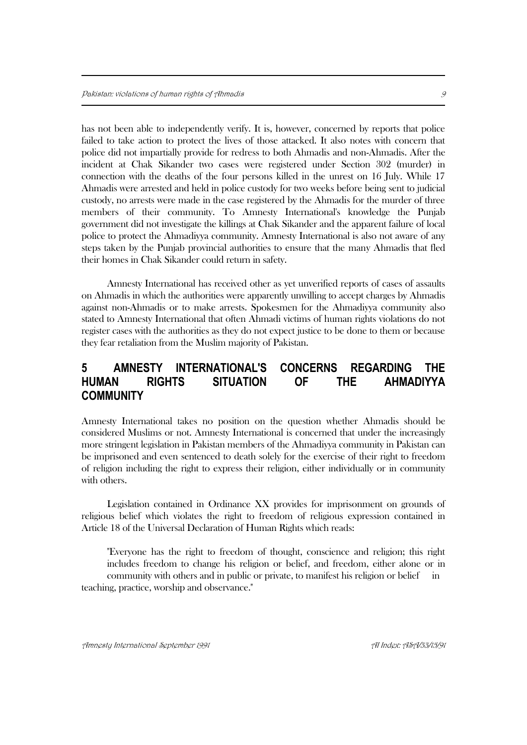has not been able to independently verify. It is, however, concerned by reports that police failed to take action to protect the lives of those attacked. It also notes with concern that police did not impartially provide for redress to both Ahmadis and non-Ahmadis. After the incident at Chak Sikander two cases were registered under Section 302 (murder) in connection with the deaths of the four persons killed in the unrest on 16 July. While 17 Ahmadis were arrested and held in police custody for two weeks before being sent to judicial custody, no arrests were made in the case registered by the Ahmadis for the murder of three members of their community. To Amnesty International's knowledge the Punjab government did not investigate the killings at Chak Sikander and the apparent failure of local police to protect the Ahmadiyya community. Amnesty International is also not aware of any steps taken by the Punjab provincial authorities to ensure that the many Ahmadis that fled their homes in Chak Sikander could return in safety.

Amnesty International has received other as yet unverified reports of cases of assaults on Ahmadis in which the authorities were apparently unwilling to accept charges by Ahmadis against non-Ahmadis or to make arrests. Spokesmen for the Ahmadiyya community also stated to Amnesty International that often Ahmadi victims of human rights violations do not register cases with the authorities as they do not expect justice to be done to them or because they fear retaliation from the Muslim majority of Pakistan.

## **5 AMNESTY INTERNATIONAL'S CONCERNS REGARDING THE HUMAN RIGHTS SITUATION OF THE AHMADIYYA COMMUNITY**

Amnesty International takes no position on the question whether Ahmadis should be considered Muslims or not. Amnesty International is concerned that under the increasingly more stringent legislation in Pakistan members of the Ahmadiyya community in Pakistan can be imprisoned and even sentenced to death solely for the exercise of their right to freedom of religion including the right to express their religion, either individually or in community with others.

Legislation contained in Ordinance XX provides for imprisonment on grounds of religious belief which violates the right to freedom of religious expression contained in Article 18 of the Universal Declaration of Human Rights which reads:

"Everyone has the right to freedom of thought, conscience and religion; this right includes freedom to change his religion or belief, and freedom, either alone or in community with others and in public or private, to manifest his religion or belief teaching, practice, worship and observance."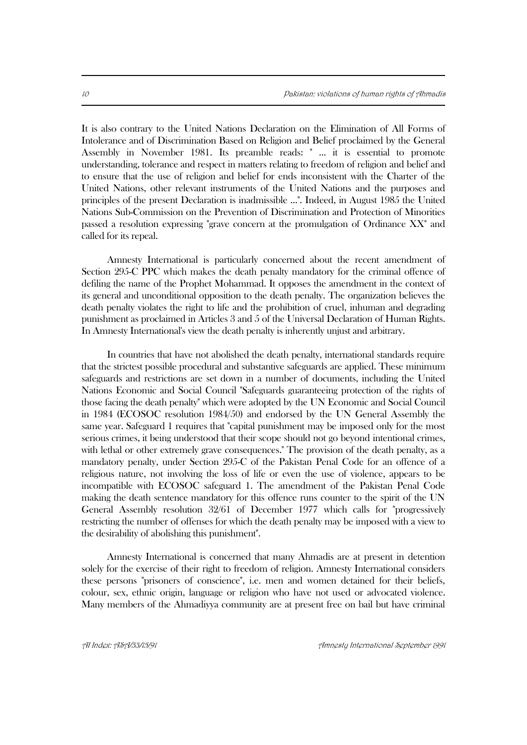It is also contrary to the United Nations Declaration on the Elimination of All Forms of Intolerance and of Discrimination Based on Religion and Belief proclaimed by the General Assembly in November 1981. Its preamble reads: " ... it is essential to promote understanding, tolerance and respect in matters relating to freedom of religion and belief and to ensure that the use of religion and belief for ends inconsistent with the Charter of the United Nations, other relevant instruments of the United Nations and the purposes and principles of the present Declaration is inadmissible ...". Indeed, in August 1985 the United Nations Sub-Commission on the Prevention of Discrimination and Protection of Minorities passed a resolution expressing "grave concern at the promulgation of Ordinance XX" and called for its repeal.

Amnesty International is particularly concerned about the recent amendment of Section 295-C PPC which makes the death penalty mandatory for the criminal offence of defiling the name of the Prophet Mohammad. It opposes the amendment in the context of its general and unconditional opposition to the death penalty. The organization believes the death penalty violates the right to life and the prohibition of cruel, inhuman and degrading punishment as proclaimed in Articles 3 and 5 of the Universal Declaration of Human Rights. In Amnesty International's view the death penalty is inherently unjust and arbitrary.

In countries that have not abolished the death penalty, international standards require that the strictest possible procedural and substantive safeguards are applied. These minimum safeguards and restrictions are set down in a number of documents, including the United Nations Economic and Social Council "Safeguards guaranteeing protection of the rights of those facing the death penalty" which were adopted by the UN Economic and Social Council in 1984 (ECOSOC resolution 1984/50) and endorsed by the UN General Assembly the same year. Safeguard 1 requires that "capital punishment may be imposed only for the most serious crimes, it being understood that their scope should not go beyond intentional crimes, with lethal or other extremely grave consequences." The provision of the death penalty, as a mandatory penalty, under Section 295-C of the Pakistan Penal Code for an offence of a religious nature, not involving the loss of life or even the use of violence, appears to be incompatible with ECOSOC safeguard 1. The amendment of the Pakistan Penal Code making the death sentence mandatory for this offence runs counter to the spirit of the UN General Assembly resolution 32/61 of December 1977 which calls for "progressively restricting the number of offenses for which the death penalty may be imposed with a view to the desirability of abolishing this punishment".

Amnesty International is concerned that many Ahmadis are at present in detention solely for the exercise of their right to freedom of religion. Amnesty International considers these persons "prisoners of conscience", i.e. men and women detained for their beliefs, colour, sex, ethnic origin, language or religion who have not used or advocated violence. Many members of the Ahmadiyya community are at present free on bail but have criminal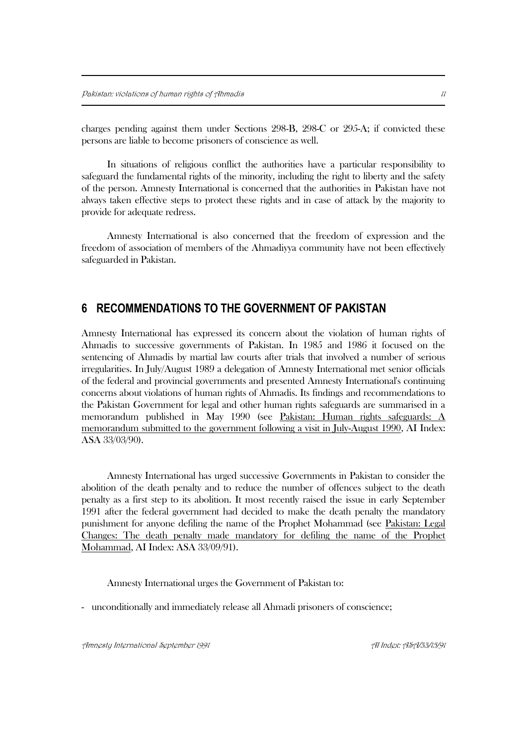charges pending against them under Sections 298-B, 298-C or 295-A; if convicted these persons are liable to become prisoners of conscience as well.

In situations of religious conflict the authorities have a particular responsibility to safeguard the fundamental rights of the minority, including the right to liberty and the safety of the person. Amnesty International is concerned that the authorities in Pakistan have not always taken effective steps to protect these rights and in case of attack by the majority to provide for adequate redress.

Amnesty International is also concerned that the freedom of expression and the freedom of association of members of the Ahmadiyya community have not been effectively safeguarded in Pakistan.

### **6 RECOMMENDATIONS TO THE GOVERNMENT OF PAKISTAN**

Amnesty International has expressed its concern about the violation of human rights of Ahmadis to successive governments of Pakistan. In 1985 and 1986 it focused on the sentencing of Ahmadis by martial law courts after trials that involved a number of serious irregularities. In July/August 1989 a delegation of Amnesty International met senior officials of the federal and provincial governments and presented Amnesty International's continuing concerns about violations of human rights of Ahmadis. Its findings and recommendations to the Pakistan Government for legal and other human rights safeguards are summarised in a memorandum published in May 1990 (see Pakistan: Human rights safeguards: A memorandum submitted to the government following a visit in July-August 1990, AI Index: ASA 33/03/90).

Amnesty International has urged successive Governments in Pakistan to consider the abolition of the death penalty and to reduce the number of offences subject to the death penalty as a first step to its abolition. It most recently raised the issue in early September 1991 after the federal government had decided to make the death penalty the mandatory punishment for anyone defiling the name of the Prophet Mohammad (see Pakistan: Legal Changes: The death penalty made mandatory for defiling the name of the Prophet Mohammad, AI Index: ASA 33/09/91).

Amnesty International urges the Government of Pakistan to:

- unconditionally and immediately release all Ahmadi prisoners of conscience;